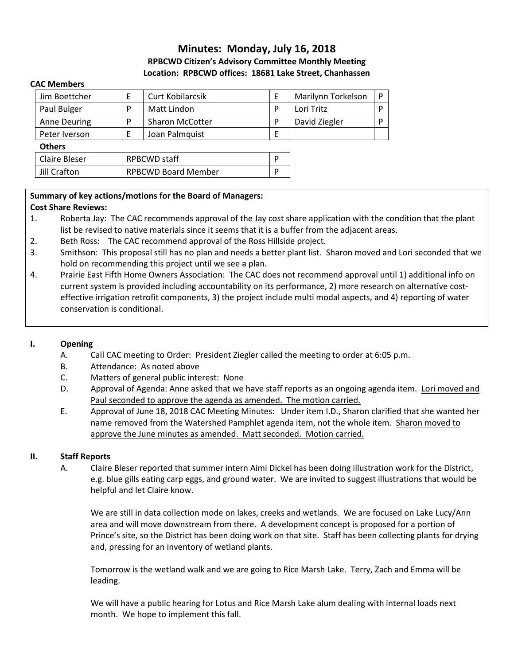# **Minutes: Monday, July 16, 2018 RPBCWD Citizen's Advisory Committee Monthly Meeting Location: RPBCWD offices: 18681 Lake Street, Chanhassen**

#### **CAC Members**

| Jim Boettcher        | E                          | Curt Kobilarcsik       |   | Marilynn Torkelson | D |
|----------------------|----------------------------|------------------------|---|--------------------|---|
| Paul Bulger          | P                          | Matt Lindon            | P | Lori Tritz         | D |
| Anne Deuring         | P                          | <b>Sharon McCotter</b> | P | David Ziegler      | D |
| Peter Iverson        |                            | Joan Palmquist         |   |                    |   |
| <b>Others</b>        |                            |                        |   |                    |   |
| <b>Claire Bleser</b> | <b>RPBCWD staff</b>        |                        | ם |                    |   |
| Jill Crafton         | <b>RPBCWD Board Member</b> |                        |   |                    |   |

## **Summary of key actions/motions for the Board of Managers:**

### **Cost Share Reviews:**

- 1. Roberta Jay: The CAC recommends approval of the Jay cost share application with the condition that the plant list be revised to native materials since it seems that it is a buffer from the adjacent areas.
- 2. Beth Ross: The CAC recommend approval of the Ross Hillside project.
- 3. Smithson: This proposal still has no plan and needs a better plant list. Sharon moved and Lori seconded that we hold on recommending this project until we see a plan.
- 4. Prairie East Fifth Home Owners Association: The CAC does not recommend approval until 1) additional info on current system is provided including accountability on its performance, 2) more research on alternative costeffective irrigation retrofit components, 3) the project include multi modal aspects, and 4) reporting of water conservation is conditional.

### **I. Opening**

- A. Call CAC meeting to Order: President Ziegler called the meeting to order at 6:05 p.m.
- B. Attendance: As noted above
- C. Matters of general public interest: None
- D. Approval of Agenda: Anne asked that we have staff reports as an ongoing agenda item. Lori moved and Paul seconded to approve the agenda as amended. The motion carried.
- E. Approval of June 18, 2018 CAC Meeting Minutes: Under item I.D., Sharon clarified that she wanted her name removed from the Watershed Pamphlet agenda item, not the whole item. Sharon moved to approve the June minutes as amended. Matt seconded. Motion carried.

### **II. Staff Reports**

A. Claire Bleser reported that summer intern Aimi Dickel has been doing illustration work for the District, e.g. blue gills eating carp eggs, and ground water. We are invited to suggest illustrations that would be helpful and let Claire know.

We are still in data collection mode on lakes, creeks and wetlands. We are focused on Lake Lucy/Ann area and will move downstream from there. A development concept is proposed for a portion of Prince's site, so the District has been doing work on that site. Staff has been collecting plants for drying and, pressing for an inventory of wetland plants.

Tomorrow is the wetland walk and we are going to Rice Marsh Lake. Terry, Zach and Emma will be leading.

We will have a public hearing for Lotus and Rice Marsh Lake alum dealing with internal loads next month. We hope to implement this fall.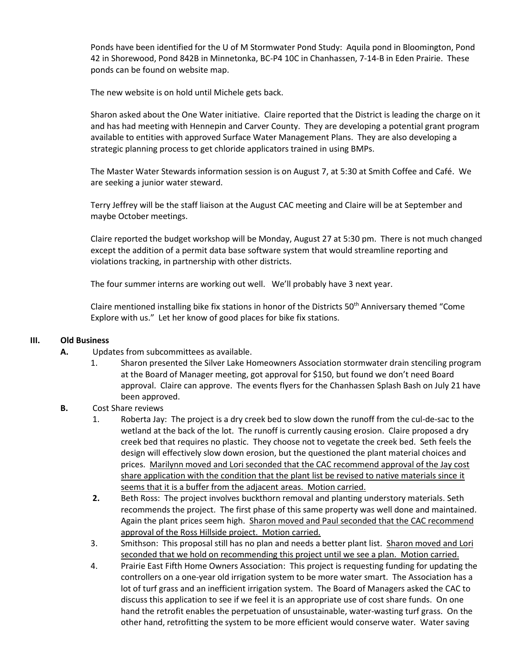Ponds have been identified for the U of M Stormwater Pond Study: Aquila pond in Bloomington, Pond 42 in Shorewood, Pond 842B in Minnetonka, BC-P4 10C in Chanhassen, 7-14-B in Eden Prairie. These ponds can be found on website map.

The new website is on hold until Michele gets back.

Sharon asked about the One Water initiative. Claire reported that the District is leading the charge on it and has had meeting with Hennepin and Carver County. They are developing a potential grant program available to entities with approved Surface Water Management Plans. They are also developing a strategic planning process to get chloride applicators trained in using BMPs.

The Master Water Stewards information session is on August 7, at 5:30 at Smith Coffee and Café. We are seeking a junior water steward.

Terry Jeffrey will be the staff liaison at the August CAC meeting and Claire will be at September and maybe October meetings.

Claire reported the budget workshop will be Monday, August 27 at 5:30 pm. There is not much changed except the addition of a permit data base software system that would streamline reporting and violations tracking, in partnership with other districts.

The four summer interns are working out well. We'll probably have 3 next year.

Claire mentioned installing bike fix stations in honor of the Districts 50<sup>th</sup> Anniversary themed "Come Explore with us." Let her know of good places for bike fix stations.

### **III. Old Business**

- **A.** Updates from subcommittees as available.
	- 1. Sharon presented the Silver Lake Homeowners Association stormwater drain stenciling program at the Board of Manager meeting, got approval for \$150, but found we don't need Board approval. Claire can approve. The events flyers for the Chanhassen Splash Bash on July 21 have been approved.
- **B.** Cost Share reviews
	- 1. Roberta Jay: The project is a dry creek bed to slow down the runoff from the cul-de-sac to the wetland at the back of the lot. The runoff is currently causing erosion. Claire proposed a dry creek bed that requires no plastic. They choose not to vegetate the creek bed. Seth feels the design will effectively slow down erosion, but the questioned the plant material choices and prices. Marilynn moved and Lori seconded that the CAC recommend approval of the Jay cost share application with the condition that the plant list be revised to native materials since it seems that it is a buffer from the adjacent areas. Motion carried.
	- **2.** Beth Ross: The project involves buckthorn removal and planting understory materials. Seth recommends the project. The first phase of this same property was well done and maintained. Again the plant prices seem high. Sharon moved and Paul seconded that the CAC recommend approval of the Ross Hillside project. Motion carried.
	- 3. Smithson: This proposal still has no plan and needs a better plant list. Sharon moved and Lori seconded that we hold on recommending this project until we see a plan. Motion carried.
	- 4. Prairie East Fifth Home Owners Association: This project is requesting funding for updating the controllers on a one-year old irrigation system to be more water smart. The Association has a lot of turf grass and an inefficient irrigation system. The Board of Managers asked the CAC to discuss this application to see if we feel it is an appropriate use of cost share funds. On one hand the retrofit enables the perpetuation of unsustainable, water-wasting turf grass. On the other hand, retrofitting the system to be more efficient would conserve water. Water saving